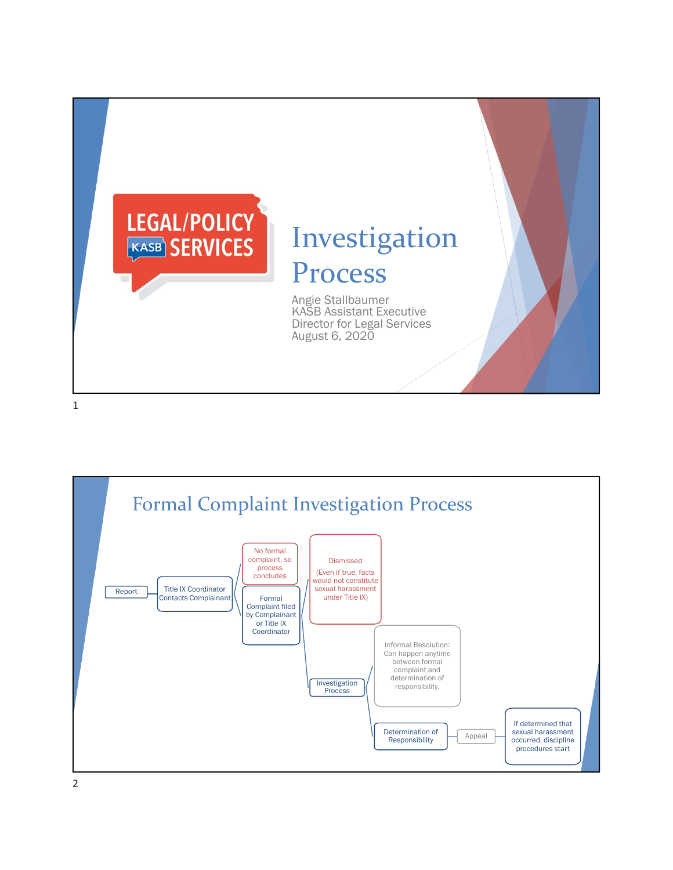

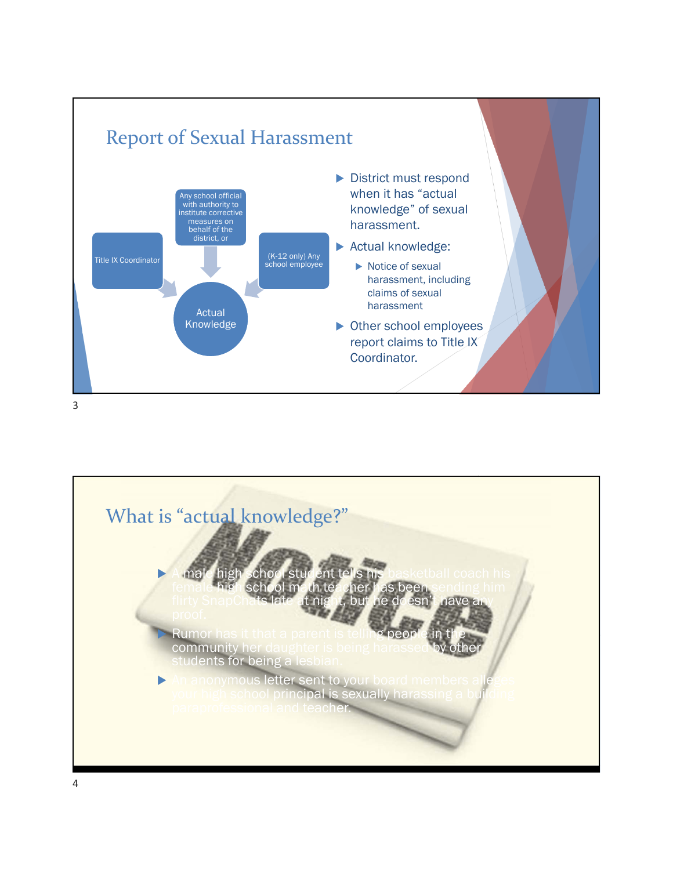



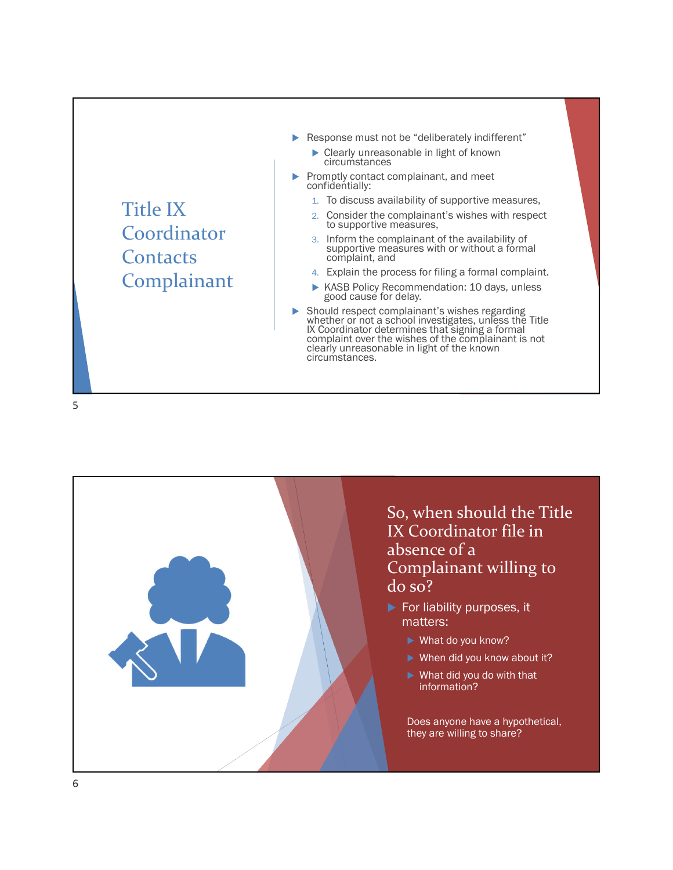

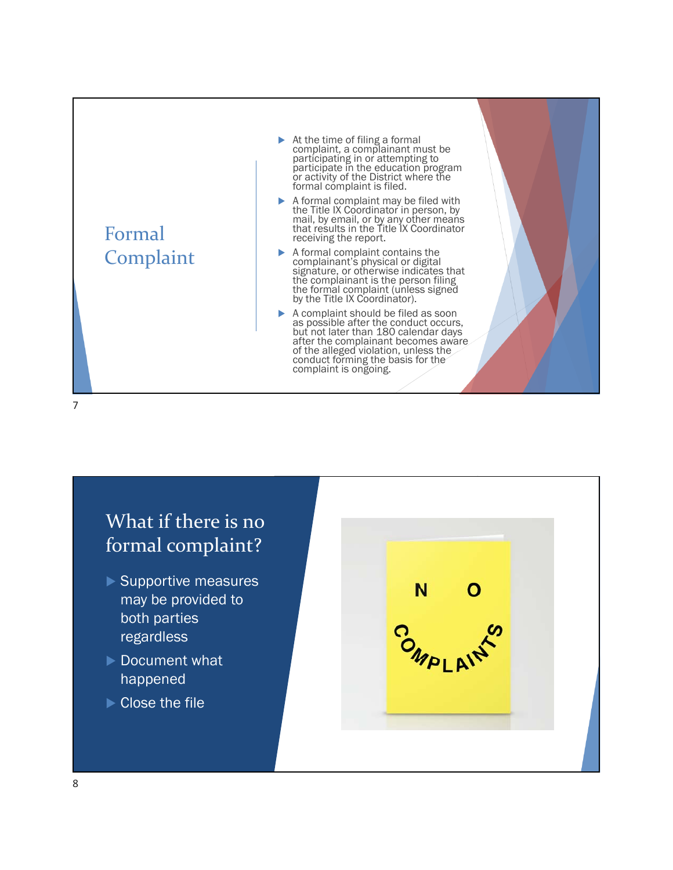

## What if there is no formal complaint?

- Supportive measures may be provided to both parties regardless
- ▶ Document what happened
- ▶ Close the file

N.  $\frac{1}{2}$ OMPLAIT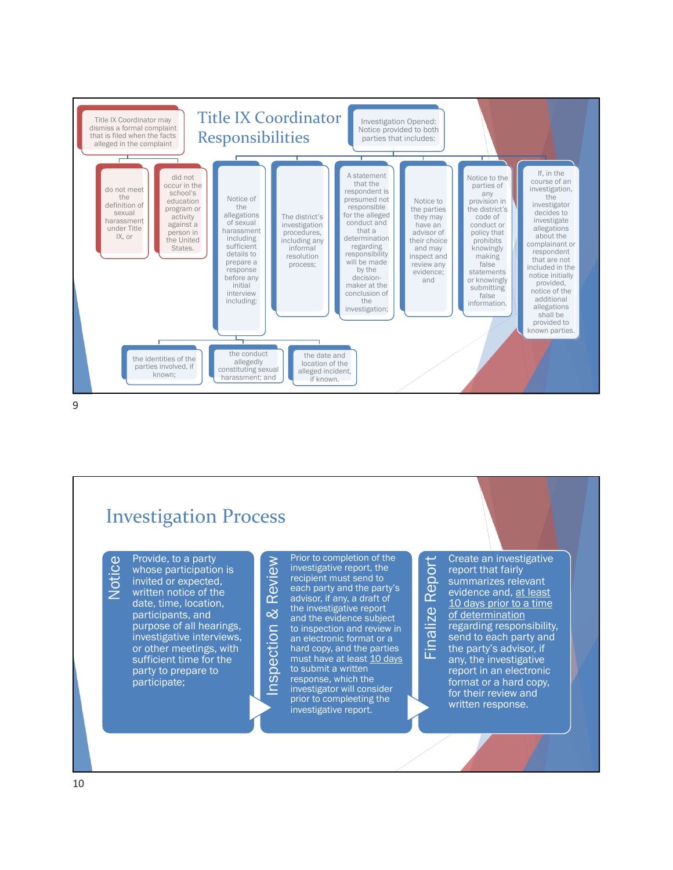

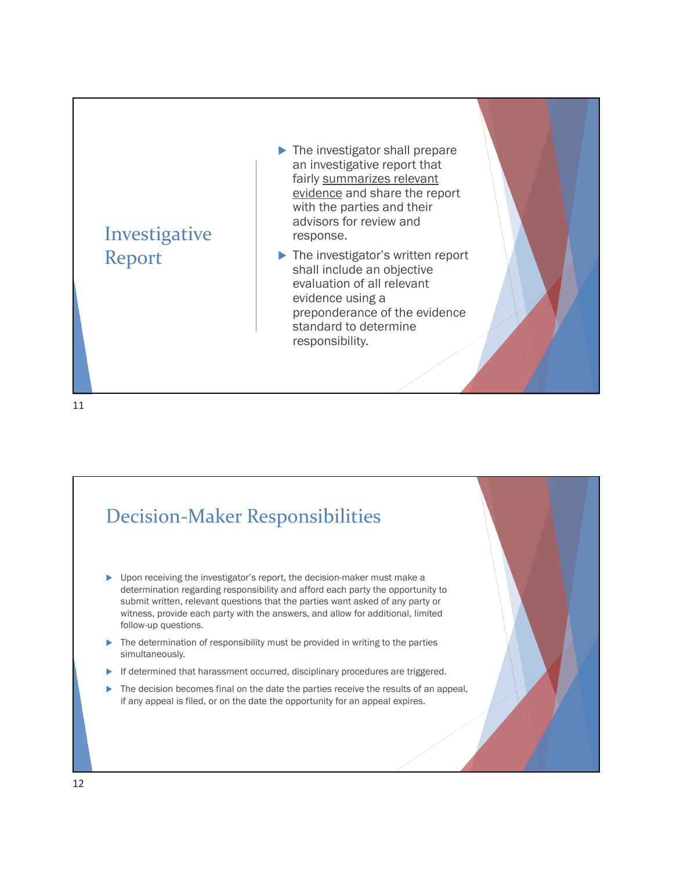

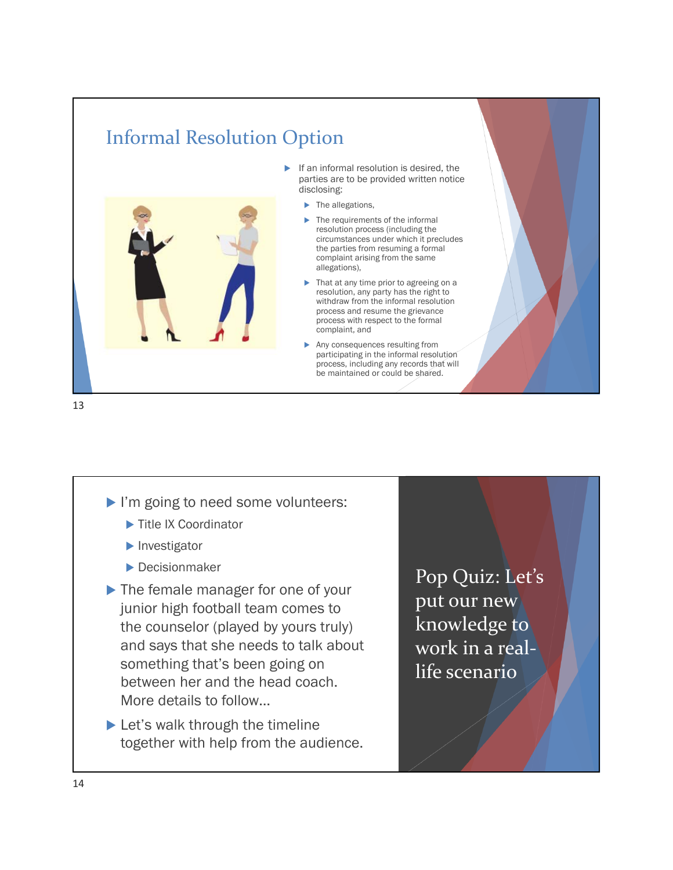## Informal Resolution Option



- $\blacktriangleright$  If an informal resolution is desired, the parties are to be provided written notice disclosing:
	- The allegations,
	- The requirements of the informal resolution process (including the circumstances under which it precludes the parties from resuming a formal complaint arising from the same allegations),
	- That at any time prior to agreeing on a resolution, any party has the right to withdraw from the informal resolution process and resume the grievance process with respect to the formal complaint, and
	- Any consequences resulting from participating in the informal resolution process, including any records that will be maintained or could be shared.

13

- I'm going to need some volunteers:
	- ▶ Title IX Coordinator
	- $\blacktriangleright$  Investigator
	- Decisionmaker
- ▶ The female manager for one of your junior high football team comes to the counselor (played by yours truly) and says that she needs to talk about something that's been going on between her and the head coach. More details to follow…
- ▶ Let's walk through the timeline together with help from the audience.

Pop Quiz: Let's put our new knowledge to work in a real‐ life scenario